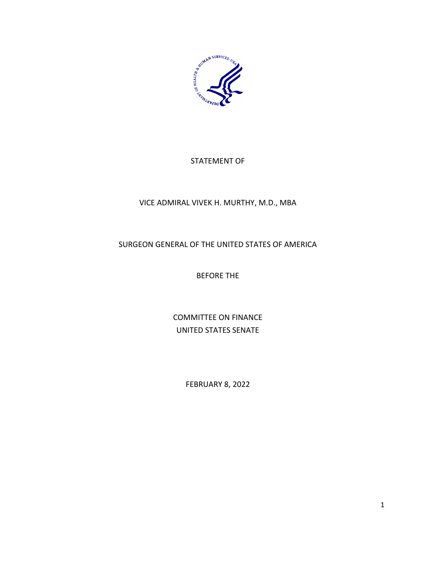

# STATEMENT OF

### VICE ADMIRAL VIVEK H. MURTHY, M.D., MBA

# SURGEON GENERAL OF THE UNITED STATES OF AMERICA

# BEFORE THE

COMMITTEE ON FINANCE UNITED STATES SENATE

FEBRUARY 8, 2022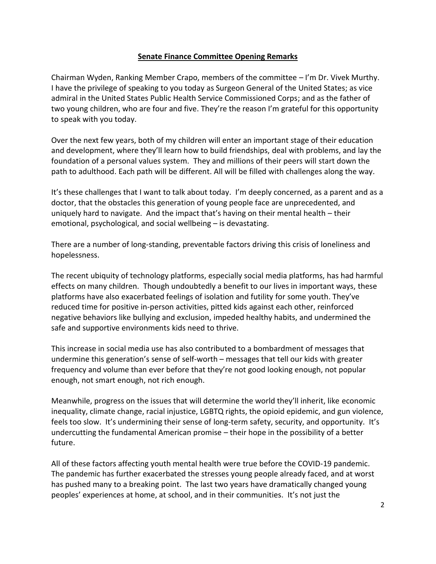### **Senate Finance Committee Opening Remarks**

Chairman Wyden, Ranking Member Crapo, members of the committee – I'm Dr. Vivek Murthy. I have the privilege of speaking to you today as Surgeon General of the United States; as vice admiral in the United States Public Health Service Commissioned Corps; and as the father of two young children, who are four and five. They're the reason I'm grateful for this opportunity to speak with you today.

Over the next few years, both of my children will enter an important stage of their education and development, where they'll learn how to build friendships, deal with problems, and lay the foundation of a personal values system. They and millions of their peers will start down the path to adulthood. Each path will be different. All will be filled with challenges along the way.

It's these challenges that I want to talk about today. I'm deeply concerned, as a parent and as a doctor, that the obstacles this generation of young people face are unprecedented, and uniquely hard to navigate. And the impact that's having on their mental health – their emotional, psychological, and social wellbeing – is devastating.

There are a number of long-standing, preventable factors driving this crisis of loneliness and hopelessness.

The recent ubiquity of technology platforms, especially social media platforms, has had harmful effects on many children. Though undoubtedly a benefit to our lives in important ways, these platforms have also exacerbated feelings of isolation and futility for some youth. They've reduced time for positive in-person activities, pitted kids against each other, reinforced negative behaviors like bullying and exclusion, impeded healthy habits, and undermined the safe and supportive environments kids need to thrive.

This increase in social media use has also contributed to a bombardment of messages that undermine this generation's sense of self-worth – messages that tell our kids with greater frequency and volume than ever before that they're not good looking enough, not popular enough, not smart enough, not rich enough.

Meanwhile, progress on the issues that will determine the world they'll inherit, like economic inequality, climate change, racial injustice, LGBTQ rights, the opioid epidemic, and gun violence, feels too slow. It's undermining their sense of long-term safety, security, and opportunity. It's undercutting the fundamental American promise – their hope in the possibility of a better future.

All of these factors affecting youth mental health were true before the COVID-19 pandemic. The pandemic has further exacerbated the stresses young people already faced, and at worst has pushed many to a breaking point. The last two years have dramatically changed young peoples' experiences at home, at school, and in their communities. It's not just the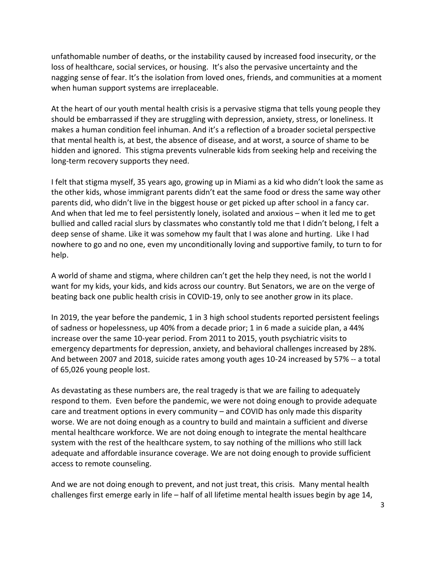unfathomable number of deaths, or the instability caused by increased food insecurity, or the loss of healthcare, social services, or housing. It's also the pervasive uncertainty and the nagging sense of fear. It's the isolation from loved ones, friends, and communities at a moment when human support systems are irreplaceable.

At the heart of our youth mental health crisis is a pervasive stigma that tells young people they should be embarrassed if they are struggling with depression, anxiety, stress, or loneliness. It makes a human condition feel inhuman. And it's a reflection of a broader societal perspective that mental health is, at best, the absence of disease, and at worst, a source of shame to be hidden and ignored. This stigma prevents vulnerable kids from seeking help and receiving the long-term recovery supports they need.

I felt that stigma myself, 35 years ago, growing up in Miami as a kid who didn't look the same as the other kids, whose immigrant parents didn't eat the same food or dress the same way other parents did, who didn't live in the biggest house or get picked up after school in a fancy car. And when that led me to feel persistently lonely, isolated and anxious – when it led me to get bullied and called racial slurs by classmates who constantly told me that I didn't belong, I felt a deep sense of shame. Like it was somehow my fault that I was alone and hurting. Like I had nowhere to go and no one, even my unconditionally loving and supportive family, to turn to for help.

A world of shame and stigma, where children can't get the help they need, is not the world I want for my kids, your kids, and kids across our country. But Senators, we are on the verge of beating back one public health crisis in COVID-19, only to see another grow in its place.

In 2019, the year before the pandemic, 1 in 3 high school students reported persistent feelings of sadness or hopelessness, up 40% from a decade prior; 1 in 6 made a suicide plan, a 44% increase over the same 10-year period. From 2011 to 2015, youth psychiatric visits to emergency departments for depression, anxiety, and behavioral challenges increased by 28%. And between 2007 and 2018, suicide rates among youth ages 10-24 increased by 57% -- a total of 65,026 young people lost.

As devastating as these numbers are, the real tragedy is that we are failing to adequately respond to them. Even before the pandemic, we were not doing enough to provide adequate care and treatment options in every community – and COVID has only made this disparity worse. We are not doing enough as a country to build and maintain a sufficient and diverse mental healthcare workforce. We are not doing enough to integrate the mental healthcare system with the rest of the healthcare system, to say nothing of the millions who still lack adequate and affordable insurance coverage. We are not doing enough to provide sufficient access to remote counseling.

And we are not doing enough to prevent, and not just treat, this crisis. Many mental health challenges first emerge early in life – half of all lifetime mental health issues begin by age 14,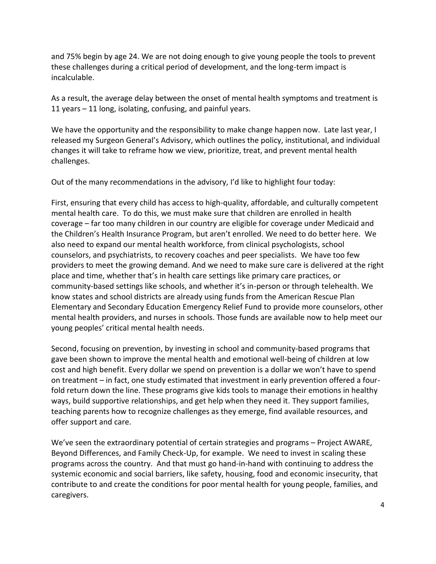and 75% begin by age 24. We are not doing enough to give young people the tools to prevent these challenges during a critical period of development, and the long-term impact is incalculable.

As a result, the average delay between the onset of mental health symptoms and treatment is 11 years – 11 long, isolating, confusing, and painful years.

We have the opportunity and the responsibility to make change happen now. Late last year, I released my Surgeon General's Advisory, which outlines the policy, institutional, and individual changes it will take to reframe how we view, prioritize, treat, and prevent mental health challenges.

Out of the many recommendations in the advisory, I'd like to highlight four today:

First, ensuring that every child has access to high-quality, affordable, and culturally competent mental health care. To do this, we must make sure that children are enrolled in health coverage – far too many children in our country are eligible for coverage under Medicaid and the Children's Health Insurance Program, but aren't enrolled. We need to do better here. We also need to expand our mental health workforce, from clinical psychologists, school counselors, and psychiatrists, to recovery coaches and peer specialists. We have too few providers to meet the growing demand. And we need to make sure care is delivered at the right place and time, whether that's in health care settings like primary care practices, or community-based settings like schools, and whether it's in-person or through telehealth. We know states and school districts are already using funds from the American Rescue Plan Elementary and Secondary Education Emergency Relief Fund to provide more counselors, other mental health providers, and nurses in schools. Those funds are available now to help meet our young peoples' critical mental health needs.

Second, focusing on prevention, by investing in school and community-based programs that gave been shown to improve the mental health and emotional well-being of children at low cost and high benefit. Every dollar we spend on prevention is a dollar we won't have to spend on treatment – in fact, one study estimated that investment in early prevention offered a fourfold return down the line. These programs give kids tools to manage their emotions in healthy ways, build supportive relationships, and get help when they need it. They support families, teaching parents how to recognize challenges as they emerge, find available resources, and offer support and care.

We've seen the extraordinary potential of certain strategies and programs – Project AWARE, Beyond Differences, and Family Check-Up, for example. We need to invest in scaling these programs across the country. And that must go hand-in-hand with continuing to address the systemic economic and social barriers, like safety, housing, food and economic insecurity, that contribute to and create the conditions for poor mental health for young people, families, and caregivers.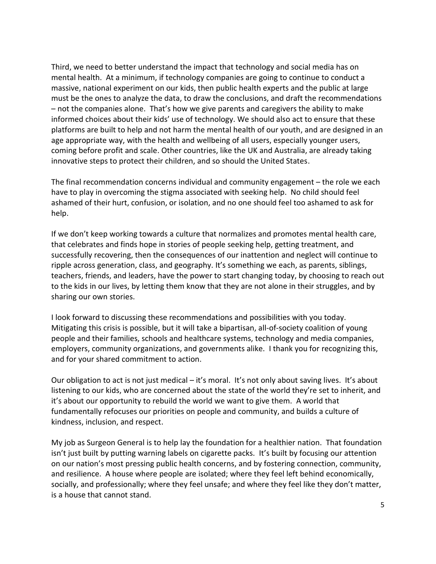Third, we need to better understand the impact that technology and social media has on mental health. At a minimum, if technology companies are going to continue to conduct a massive, national experiment on our kids, then public health experts and the public at large must be the ones to analyze the data, to draw the conclusions, and draft the recommendations – not the companies alone. That's how we give parents and caregivers the ability to make informed choices about their kids' use of technology. We should also act to ensure that these platforms are built to help and not harm the mental health of our youth, and are designed in an age appropriate way, with the health and wellbeing of all users, especially younger users, coming before profit and scale. Other countries, like the UK and Australia, are already taking innovative steps to protect their children, and so should the United States.

The final recommendation concerns individual and community engagement – the role we each have to play in overcoming the stigma associated with seeking help. No child should feel ashamed of their hurt, confusion, or isolation, and no one should feel too ashamed to ask for help.

If we don't keep working towards a culture that normalizes and promotes mental health care, that celebrates and finds hope in stories of people seeking help, getting treatment, and successfully recovering, then the consequences of our inattention and neglect will continue to ripple across generation, class, and geography. It's something we each, as parents, siblings, teachers, friends, and leaders, have the power to start changing today, by choosing to reach out to the kids in our lives, by letting them know that they are not alone in their struggles, and by sharing our own stories.

I look forward to discussing these recommendations and possibilities with you today. Mitigating this crisis is possible, but it will take a bipartisan, all-of-society coalition of young people and their families, schools and healthcare systems, technology and media companies, employers, community organizations, and governments alike. I thank you for recognizing this, and for your shared commitment to action.

Our obligation to act is not just medical – it's moral. It's not only about saving lives. It's about listening to our kids, who are concerned about the state of the world they're set to inherit, and it's about our opportunity to rebuild the world we want to give them. A world that fundamentally refocuses our priorities on people and community, and builds a culture of kindness, inclusion, and respect.

My job as Surgeon General is to help lay the foundation for a healthier nation. That foundation isn't just built by putting warning labels on cigarette packs. It's built by focusing our attention on our nation's most pressing public health concerns, and by fostering connection, community, and resilience. A house where people are isolated; where they feel left behind economically, socially, and professionally; where they feel unsafe; and where they feel like they don't matter, is a house that cannot stand.